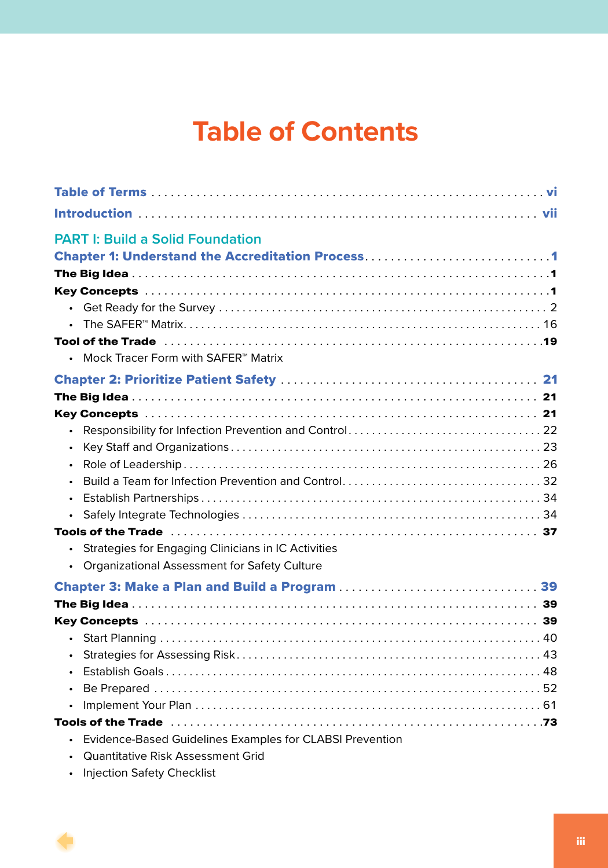## **Table of Contents**

| <b>PART I: Build a Solid Foundation</b><br><b>Chapter 1: Understand the Accreditation Process1</b>                                   |
|--------------------------------------------------------------------------------------------------------------------------------------|
|                                                                                                                                      |
| $\bullet$<br>$\bullet$                                                                                                               |
| • Mock Tracer Form with SAFER <sup>™</sup> Matrix                                                                                    |
|                                                                                                                                      |
|                                                                                                                                      |
|                                                                                                                                      |
| $\bullet$                                                                                                                            |
| $\bullet$                                                                                                                            |
| $\bullet$                                                                                                                            |
|                                                                                                                                      |
| $\bullet$                                                                                                                            |
| $\bullet$                                                                                                                            |
| Strategies for Engaging Clinicians in IC Activities<br>$\bullet$<br><b>Organizational Assessment for Safety Culture</b><br>$\bullet$ |
|                                                                                                                                      |
|                                                                                                                                      |
|                                                                                                                                      |
| $\bullet$                                                                                                                            |
| $\bullet$                                                                                                                            |
| $\bullet$                                                                                                                            |
| $\bullet$                                                                                                                            |
| $\bullet$                                                                                                                            |
|                                                                                                                                      |
| Evidence-Based Guidelines Examples for CLABSI Prevention<br>Quantitative Risk Assessment Grid                                        |

• Injection Safety Checklist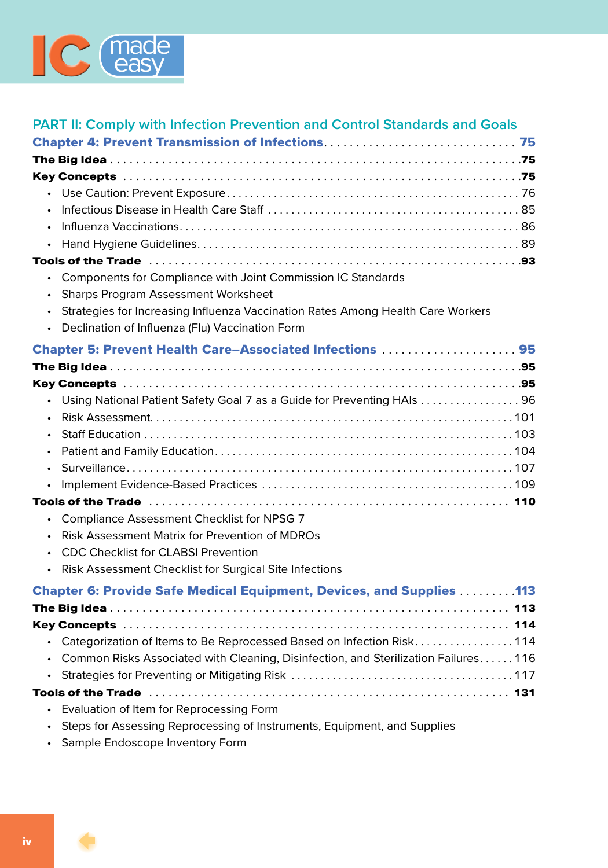

| <b>PART II: Comply with Infection Prevention and Control Standards and Goals</b>                                                           |
|--------------------------------------------------------------------------------------------------------------------------------------------|
|                                                                                                                                            |
|                                                                                                                                            |
| $\bullet$                                                                                                                                  |
|                                                                                                                                            |
| Components for Compliance with Joint Commission IC Standards<br>$\bullet$                                                                  |
| <b>Sharps Program Assessment Worksheet</b><br>Strategies for Increasing Influenza Vaccination Rates Among Health Care Workers<br>$\bullet$ |
| Declination of Influenza (Flu) Vaccination Form<br>$\bullet$                                                                               |
| Chapter 5: Prevent Health Care-Associated Infections  95                                                                                   |
|                                                                                                                                            |
|                                                                                                                                            |
| Using National Patient Safety Goal 7 as a Guide for Preventing HAIs 96<br>$\bullet$                                                        |
|                                                                                                                                            |
| Compliance Assessment Checklist for NPSG 7                                                                                                 |
| Risk Assessment Matrix for Prevention of MDROs                                                                                             |
| <b>CDC Checklist for CLABSI Prevention</b>                                                                                                 |
| Risk Assessment Checklist for Surgical Site Infections<br>$\bullet$                                                                        |
| <b>Chapter 6: Provide Safe Medical Equipment, Devices, and Supplies  113</b>                                                               |
|                                                                                                                                            |
|                                                                                                                                            |
| Categorization of Items to Be Reprocessed Based on Infection Risk114                                                                       |
| Common Risks Associated with Cleaning, Disinfection, and Sterilization Failures116                                                         |
|                                                                                                                                            |
|                                                                                                                                            |
| Evaluation of Item for Reprocessing Form                                                                                                   |
| Steps for Assessing Reprocessing of Instruments, Equipment, and Supplies                                                                   |

• Sample Endoscope Inventory Form